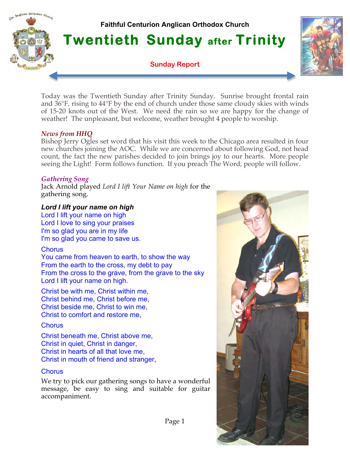

**Twentieth Sunday after Trinity** 

**Sunday Report**



Today was the Twentieth Sunday after Trinity Sunday. Sunrise brought frontal rain and 36°F, rising to 44°F by the end of church under those same cloudy skies with winds of 15-20 knots out of the West. We need the rain so we are happy for the change of weather! The unpleasant, but welcome, weather brought 4 people to worship.

### *News from HHQ*

malican Orthodox Church

Bishop Jerry Ogles set word that his visit this week to the Chicago area resulted in four new churches joining the AOC. While we are concerned about following God, not head count, the fact the new parishes decided to join brings joy to our hearts. More people seeing the Light! Form follows function. If you preach The Word, people will follow.

# *Gathering Song*

Jack Arnold played *Lord I lift Your Name on high* for the gathering song.

### *Lord I lift your name on high*

Lord I lift your name on high Lord I love to sing your praises I'm so glad you are in my life I'm so glad you came to save us.

### **Chorus**

You came from heaven to earth, to show the way From the earth to the cross, my debt to pay From the cross to the grave, from the grave to the sky Lord I lift your name on high.

Christ be with me, Christ within me, Christ behind me, Christ before me, Christ beside me, Christ to win me, Christ to comfort and restore me,

# **Chorus**

Christ beneath me, Christ above me, Christ in quiet, Christ in danger, Christ in hearts of all that love me, Christ in mouth of friend and stranger,

### **Chorus**

We try to pick our gathering songs to have a wonderful message, be easy to sing and suitable for guitar accompaniment.

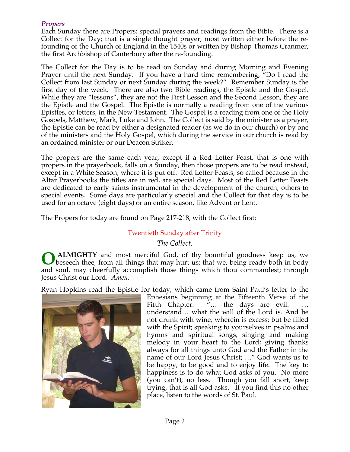# *Propers*

Each Sunday there are Propers: special prayers and readings from the Bible. There is a Collect for the Day; that is a single thought prayer, most written either before the refounding of the Church of England in the 1540s or written by Bishop Thomas Cranmer, the first Archbishop of Canterbury after the re-founding.

The Collect for the Day is to be read on Sunday and during Morning and Evening Prayer until the next Sunday. If you have a hard time remembering, "Do I read the Collect from last Sunday or next Sunday during the week?" Remember Sunday is the first day of the week. There are also two Bible readings, the Epistle and the Gospel. While they are "lessons", they are not the First Lesson and the Second Lesson, they are the Epistle and the Gospel. The Epistle is normally a reading from one of the various Epistles, or letters, in the New Testament. The Gospel is a reading from one of the Holy Gospels, Matthew, Mark, Luke and John. The Collect is said by the minister as a prayer, the Epistle can be read by either a designated reader (as we do in our church) or by one of the ministers and the Holy Gospel, which during the service in our church is read by an ordained minister or our Deacon Striker.

The propers are the same each year, except if a Red Letter Feast, that is one with propers in the prayerbook, falls on a Sunday, then those propers are to be read instead, except in a White Season, where it is put off. Red Letter Feasts, so called because in the Altar Prayerbooks the titles are in red, are special days. Most of the Red Letter Feasts are dedicated to early saints instrumental in the development of the church, others to special events. Some days are particularly special and the Collect for that day is to be used for an octave (eight days) or an entire season, like Advent or Lent.

The Propers for today are found on Page 217-218, with the Collect first:

# Twentieth Sunday after Trinity

### *The Collect.*

**ALMIGHTY** and most merciful God, of thy bountiful goodness keep us, we beseech thee, from all things that may hurt us; that we, being ready both in body and soul, may cheerfully accomplish those things which thou commandest; through Jesus Christ our Lord. *Amen*. **O**

Ryan Hopkins read the Epistle for today, which came from Saint Paul's letter to the



Ephesians beginning at the Fifteenth Verse of the Fifth Chapter. "... the days are evil. understand… what the will of the Lord is. And be not drunk with wine, wherein is excess; but be filled with the Spirit; speaking to yourselves in psalms and hymns and spiritual songs, singing and making melody in your heart to the Lord; giving thanks always for all things unto God and the Father in the name of our Lord Jesus Christ; …" God wants us to be happy, to be good and to enjoy life. The key to happiness is to do what God asks of you. No more (you can't), no less. Though you fall short, keep trying, that is all God asks. If you find this no other place, listen to the words of St. Paul.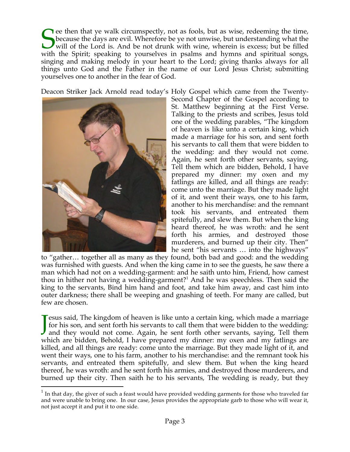**T** ee then that ye walk circumspectly, not as fools, but as wise, redeeming the time, because the days are evil. Wherefore be ye not unwise, but understanding what the will of the Lord is. And be not drunk with wine, wherein is excess; but be filled Secause the days are evil. Wherefore be ye not unwise, but understanding what the will of the Lord is. And be not drunk with wine, wherein is excess; but be filled with the Spirit; speaking to yourselves in psalms and hymn singing and making melody in your heart to the Lord; giving thanks always for all things unto God and the Father in the name of our Lord Jesus Christ; submitting yourselves one to another in the fear of God.

Deacon Striker Jack Arnold read today's Holy Gospel which came from the Twenty-



Second Chapter of the Gospel according to St. Matthew beginning at the First Verse. Talking to the priests and scribes, Jesus told one of the wedding parables, "The kingdom of heaven is like unto a certain king, which made a marriage for his son, and sent forth his servants to call them that were bidden to the wedding: and they would not come. Again, he sent forth other servants, saying, Tell them which are bidden, Behold, I have prepared my dinner: my oxen and my fatlings are killed, and all things are ready: come unto the marriage. But they made light of it, and went their ways, one to his farm, another to his merchandise: and the remnant took his servants, and entreated them spitefully, and slew them. But when the king heard thereof, he was wroth: and he sent forth his armies, and destroyed those murderers, and burned up their city. Then" he sent "his servants … into the highways"

to "gather… together all as many as they found, both bad and good: and the wedding was furnished with guests. And when the king came in to see the guests, he saw there a man which had not on a wedding-garment: and he saith unto him, Friend, how camest thou in hither not having a wedding-garment?<sup>1</sup> And he was speechless. Then said the king to the servants, Bind him hand and foot, and take him away, and cast him into outer darkness; there shall be weeping and gnashing of teeth. For many are called, but few are chosen.

**T** esus said, The kingdom of heaven is like unto a certain king, which made a marriage for his son, and sent forth his servants to call them that were bidden to the wedding: Jesus said, The kingdom of heaven is like unto a certain king, which made a marriage for his son, and sent forth his servants to call them that were bidden to the wedding: and they would not come. Again, he sent forth othe which are bidden, Behold, I have prepared my dinner: my oxen and my fatlings are killed, and all things are ready: come unto the marriage. But they made light of it, and went their ways, one to his farm, another to his merchandise: and the remnant took his servants, and entreated them spitefully, and slew them. But when the king heard thereof, he was wroth: and he sent forth his armies, and destroyed those murderers, and burned up their city. Then saith he to his servants, The wedding is ready, but they

 $<sup>1</sup>$  In that day, the giver of such a feast would have provided wedding garments for those who traveled far</sup> and were unable to bring one. In our case, Jesus provides the appropriate garb to those who will wear it, not just accept it and put it to one side.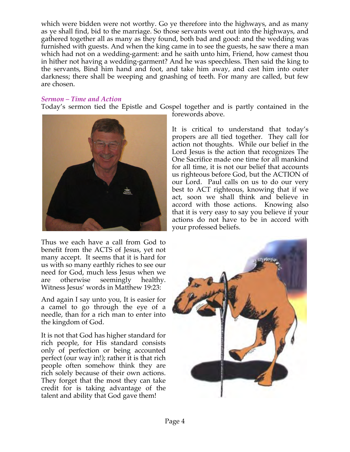which were bidden were not worthy. Go ye therefore into the highways, and as many as ye shall find, bid to the marriage. So those servants went out into the highways, and gathered together all as many as they found, both bad and good: and the wedding was furnished with guests. And when the king came in to see the guests, he saw there a man which had not on a wedding-garment: and he saith unto him, Friend, how camest thou in hither not having a wedding-garment? And he was speechless. Then said the king to the servants, Bind him hand and foot, and take him away, and cast him into outer darkness; there shall be weeping and gnashing of teeth. For many are called, but few are chosen.

## *Sermon – Time and Action*

Today's sermon tied the Epistle and Gospel together and is partly contained in the



Thus we each have a call from God to benefit from the ACTS of Jesus, yet not many accept. It seems that it is hard for us with so many earthly riches to see our need for God, much less Jesus when we are otherwise seemingly healthy. Witness Jesus' words in Matthew 19:23:

And again I say unto you, It is easier for a camel to go through the eye of a needle, than for a rich man to enter into the kingdom of God.

It is not that God has higher standard for rich people, for His standard consists only of perfection or being accounted perfect (our way in!); rather it is that rich people often somehow think they are rich solely because of their own actions. They forget that the most they can take credit for is taking advantage of the talent and ability that God gave them!

forewords above.

It is critical to understand that today's propers are all tied together. They call for action not thoughts. While our belief in the Lord Jesus is the action that recognizes The One Sacrifice made one time for all mankind for all time, it is not our belief that accounts us righteous before God, but the ACTION of our Lord. Paul calls on us to do our very best to ACT righteous, knowing that if we act, soon we shall think and believe in accord with those actions. Knowing also that it is very easy to say you believe if your actions do not have to be in accord with your professed beliefs.

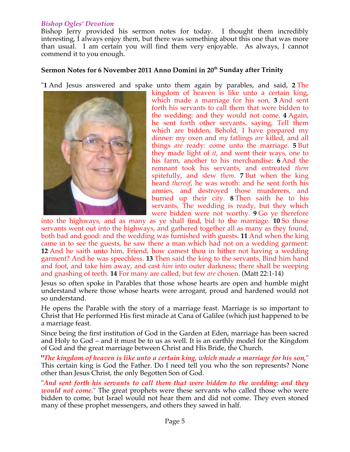## *Bishop Ogles' Devotion*

Bishop Jerry provided his sermon notes for today. I thought them incredibly interesting, I always enjoy them, but there was something about this one that was more than usual. I am certain you will find them very enjoyable. As always, I cannot commend it to you enough.

# **Sermon Notes for 6 November 2011 Anno Domini in 20th Sunday after Trinity**

"**1** And Jesus answered and spake unto them again by parables, and said, **2** The



kingdom of heaven is like unto a certain king, which made a marriage for his son, **3** And sent forth his servants to call them that were bidden to the wedding: and they would not come. **4** Again, he sent forth other servants, saying, Tell them which are bidden, Behold, I have prepared my dinner: my oxen and *my* fatlings *are* killed, and all things *are* ready: come unto the marriage. **5** But they made light of *it*, and went their ways, one to his farm, another to his merchandise: **6** And the remnant took his servants, and entreated *them* spitefully, and slew *them*. **7** But when the king heard *thereof*, he was wroth: and he sent forth his armies, and destroyed those murderers, and burned up their city. **8** Then saith he to his servants, The wedding is ready, but they which were bidden were not worthy. **9** Go ye therefore

into the highways, and as many as ye shall find, bid to the marriage. **10** So those servants went out into the highways, and gathered together all as many as they found, both bad and good: and the wedding was furnished with guests. **11** And when the king came in to see the guests, he saw there a man which had not on a wedding garment: **12** And he saith unto him, Friend, how camest thou in hither not having a wedding garment? And he was speechless. **13** Then said the king to the servants, Bind him hand and foot, and take him away, and cast *him* into outer darkness; there shall be weeping and gnashing of teeth. **14** For many are called, but few *are* chosen. (Matt 22:1-14)

Jesus so often spoke in Parables that those whose hearts are open and humble might understand where those whose hearts were arrogant, proud and hardened would not so understand.

He opens the Parable with the story of a marriage feast. Marriage is so important to Christ that He performed His first miracle at Cana of Galilee (which just happened to be a marriage feast.

Since being the first institution of God in the Garden at Eden, marriage has been sacred and Holy to God – and it must be to us as well. It is an earthly model for the Kingdom of God and the great marriage between Christ and His Bride, the Church.

**"***The kingdom of heaven is like unto a certain king, which made a marriage for his son,*" This certain king is God the Father. Do I need tell you who the son represents? None other than Jesus Christ, the only Begotten Son of God.

"*And sent forth his servants to call them that were bidden to the wedding: and they would not come*." The great prophets were these servants who called those who were bidden to come, but Israel would not hear them and did not come. They even stoned many of these prophet messengers, and others they sawed in half.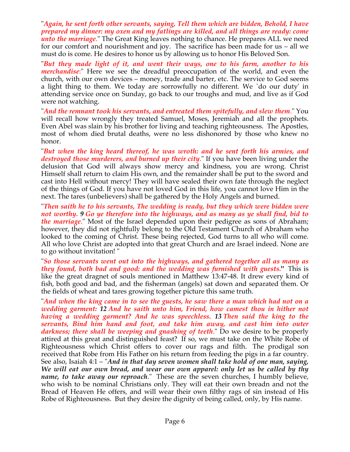"*Again, he sent forth other servants, saying, Tell them which are bidden, Behold, I have prepared my dinner: my oxen and my fatlings are killed, and all things are ready: come unto the marriage*." The Great King leaves nothing to chance. He prepares ALL we need for our comfort and nourishment and joy. The sacrifice has been made for us – all we must do is come. He desires to honor us by allowing us to honor His Beloved Son.

"*But they made light of it, and went their ways, one to his farm, another to his merchandise*:" Here we see the dreadful preoccupation of the world, and even the church, with our own devices – money, trade and barter, etc. The service to God seems a light thing to them. We today are sorrowfully no different. We `do our duty' in attending service once on Sunday, go back to our troughs and mud, and live as if God were not watching.

"*And the remnant took his servants, and entreated them spitefully, and slew them*." You will recall how wrongly they treated Samuel, Moses, Jeremiah and all the prophets. Even Abel was slain by his brother for living and teaching righteousness. The Apostles, most of whom died brutal deaths, were no less dishonored by those who knew no honor.

"*But when the king heard thereof, he was wroth: and he sent forth his armies, and destroyed those murderers, and burned up their city*." If you have been living under the delusion that God will always show mercy and kindness, you are wrong. Christ Himself shall return to claim His own, and the remainder shall be put to the sword and cast into Hell without mercy! They will have sealed their own fate through the neglect of the things of God. If you have not loved God in this life, you cannot love Him in the next. The tares (unbelievers) shall be gathered by the Holy Angels and burned.

"*Then saith he to his servants, The wedding is ready, but they which were bidden were not worthy. 9 Go ye therefore into the highways, and as many as ye shall find, bid to the marriage*." Most of the Israel depended upon their pedigree as sons of Abraham; however, they did not rightfully belong to the Old Testament Church of Abraham who looked to the coming of Christ. These being rejected, God turns to all who will come. All who love Christ are adopted into that great Church and are Israel indeed. None are to go without invitation! "

"*So those servants went out into the highways, and gathered together all as many as they found, both bad and good: and the wedding was furnished with guests.***"** This is like the great dragnet of souls mentioned in Matthew 13:47-48. It drew every kind of fish, both good and bad, and the fisherman (angels) sat down and separated them. Or the fields of wheat and tares growing together picture this same truth.

"*And when the king came in to see the guests, he saw there a man which had not on a wedding garment: 12 And he saith unto him, Friend, how camest thou in hither not having a wedding garment? And he was speechless. 13 Then said the king to the servants, Bind him hand and foot, and take him away, and cast him into outer darkness; there shall be weeping and gnashing of teeth*." Do we desire to be properly attired at this great and distinguished feast? If so, we must take on the White Robe of Righteousness which Christ offers to cover our rags and filth. The prodigal son received that Robe from His Father on his return from feeding the pigs in a far country. See also, Isaiah 4:1 – "*And in that day seven women shall take hold of one man, saying, We will eat our own bread, and wear our own apparel: only let us be called by thy name, to take away our reproach*." These are the seven churches, I humbly believe, who wish to be nominal Christians only. They will eat their own breadn and not the Bread of Heaven He offers, and will wear their own filthy rags of sin instead of His Robe of Righteousness. But they desire the dignity of being called, only, by His name.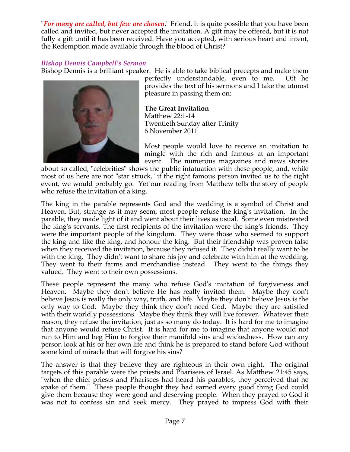"*For many are called, but few are chosen*." Friend, it is quite possible that you have been called and invited, but never accepted the invitation. A gift may be offered, but it is not fully a gift until it has been received. Have you accepted, with serious heart and intent, the Redemption made available through the blood of Christ?

## *Bishop Dennis Campbell's Sermon*

Bishop Dennis is a brilliant speaker. He is able to take biblical precepts and make them



perfectly understandable, even to me. Oft he provides the text of his sermons and I take the utmost pleasure in passing them on:

**The Great Invitation** Matthew 22:1-14 Twentieth Sunday after Trinity 6 November 2011

Most people would love to receive an invitation to mingle with the rich and famous at an important event. The numerous magazines and news stories

about so called, "celebrities" shows the public infatuation with these people, and, while most of us here are not "star struck," if the right famous person invited us to the right event, we would probably go. Yet our reading from Matthew tells the story of people who refuse the invitation of a king.

The king in the parable represents God and the wedding is a symbol of Christ and Heaven. But, strange as it may seem, most people refuse the king's invitation. In the parable, they made light of it and went about their lives as usual. Some even mistreated the king's servants. The first recipients of the invitation were the king's friends. They were the important people of the kingdom. They were those who seemed to support the king and like the king, and honour the king. But their friendship was proven false when they received the invitation, because they refused it. They didn't really want to be with the king. They didn't want to share his joy and celebrate with him at the wedding. They went to their farms and merchandise instead. They went to the things they valued. They went to their own possessions.

These people represent the many who refuse God's invitation of forgiveness and Heaven. Maybe they don't believe He has really invited them. Maybe they don't believe Jesus is really the only way, truth, and life. Maybe they don't believe Jesus is the only way to God. Maybe they think they don't need God. Maybe they are satisfied with their worldly possessions. Maybe they think they will live forever. Whatever their reason, they refuse the invitation, just as so many do today. It is hard for me to imagine that anyone would refuse Christ. It is hard for me to imagine that anyone would not run to Him and beg Him to forgive their manifold sins and wickedness. How can any person look at his or her own life and think he is prepared to stand before God without some kind of miracle that will forgive his sins?

The answer is that they believe they are righteous in their own right. The original targets of this parable were the priests and Pharisees of Israel. As Matthew 21:45 says, "when the chief priests and Pharisees had heard his parables, they perceived that he spake of them." These people thought they had earned every good thing God could give them because they were good and deserving people. When they prayed to God it was not to confess sin and seek mercy. They prayed to impress God with their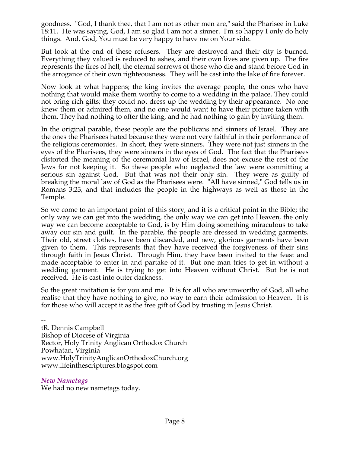goodness. "God, I thank thee, that I am not as other men are," said the Pharisee in Luke 18:11. He was saying, God, I am so glad I am not a sinner. I'm so happy I only do holy things. And, God, You must be very happy to have me on Your side.

But look at the end of these refusers. They are destroyed and their city is burned. Everything they valued is reduced to ashes, and their own lives are given up. The fire represents the fires of hell, the eternal sorrows of those who die and stand before God in the arrogance of their own righteousness. They will be cast into the lake of fire forever.

Now look at what happens; the king invites the average people, the ones who have nothing that would make them worthy to come to a wedding in the palace. They could not bring rich gifts; they could not dress up the wedding by their appearance. No one knew them or admired them, and no one would want to have their picture taken with them. They had nothing to offer the king, and he had nothing to gain by inviting them.

In the original parable, these people are the publicans and sinners of Israel. They are the ones the Pharisees hated because they were not very faithful in their performance of the religious ceremonies. In short, they were sinners. They were not just sinners in the eyes of the Pharisees, they were sinners in the eyes of God. The fact that the Pharisees distorted the meaning of the ceremonial law of Israel, does not excuse the rest of the Jews for not keeping it. So these people who neglected the law were committing a serious sin against God. But that was not their only sin. They were as guilty of breaking the moral law of God as the Pharisees were. "All have sinned," God tells us in Romans 3:23, and that includes the people in the highways as well as those in the Temple.

So we come to an important point of this story, and it is a critical point in the Bible; the only way we can get into the wedding, the only way we can get into Heaven, the only way we can become acceptable to God, is by Him doing something miraculous to take away our sin and guilt. In the parable, the people are dressed in wedding garments. Their old, street clothes, have been discarded, and new, glorious garments have been given to them. This represents that they have received the forgiveness of their sins through faith in Jesus Christ. Through Him, they have been invited to the feast and made acceptable to enter in and partake of it. But one man tries to get in without a wedding garment. He is trying to get into Heaven without Christ. But he is not received. He is cast into outer darkness.

So the great invitation is for you and me. It is for all who are unworthy of God, all who realise that they have nothing to give, no way to earn their admission to Heaven. It is for those who will accept it as the free gift of God by trusting in Jesus Christ.

- tR. Dennis Campbell Bishop of Diocese of Virginia Rector, Holy Trinity Anglican Orthodox Church Powhatan, Virginia www.HolyTrinityAnglicanOrthodoxChurch.org www.lifeinthescriptures.blogspot.com

*New Nametags*

We had no new nametags today.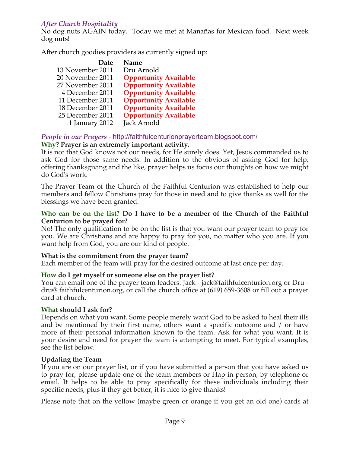# *After Church Hospitality*

No dog nuts AGAIN today. Today we met at Manañas for Mexican food. Next week dog nuts!

After church goodies providers as currently signed up:

| Date             | Name                         |
|------------------|------------------------------|
| 13 November 2011 | Dru Arnold                   |
| 20 November 2011 | <b>Opportunity Available</b> |
| 27 November 2011 | <b>Opportunity Available</b> |
| 4 December 2011  | <b>Opportunity Available</b> |
| 11 December 2011 | <b>Opportunity Available</b> |
| 18 December 2011 | <b>Opportunity Available</b> |
| 25 December 2011 | <b>Opportunity Available</b> |
| 1 January 2012   | Jack Arnold                  |

## *People in our Prayers* - http://faithfulcenturionprayerteam.blogspot.com/ **Why? Prayer is an extremely important activity.**

It is not that God knows not our needs, for He surely does. Yet, Jesus commanded us to ask God for those same needs. In addition to the obvious of asking God for help, offering thanksgiving and the like, prayer helps us focus our thoughts on how we might do God's work.

The Prayer Team of the Church of the Faithful Centurion was established to help our members and fellow Christians pray for those in need and to give thanks as well for the blessings we have been granted.

### **Who can be on the list? Do I have to be a member of the Church of the Faithful Centurion to be prayed for?**

No! The only qualification to be on the list is that you want our prayer team to pray for you. We are Christians and are happy to pray for you, no matter who you are. If you want help from God, you are our kind of people.

# **What is the commitment from the prayer team?**

Each member of the team will pray for the desired outcome at last once per day.

# **How do I get myself or someone else on the prayer list?**

You can email one of the prayer team leaders: Jack - jack@faithfulcenturion.org or Dru dru@ faithfulcenturion.org, or call the church office at (619) 659-3608 or fill out a prayer card at church.

### **What should I ask for?**

Depends on what you want. Some people merely want God to be asked to heal their ills and be mentioned by their first name, others want a specific outcome and / or have more of their personal information known to the team. Ask for what you want. It is your desire and need for prayer the team is attempting to meet. For typical examples, see the list below.

### **Updating the Team**

If you are on our prayer list, or if you have submitted a person that you have asked us to pray for, please update one of the team members or Hap in person, by telephone or email. It helps to be able to pray specifically for these individuals including their specific needs; plus if they get better, it is nice to give thanks!

Please note that on the yellow (maybe green or orange if you get an old one) cards at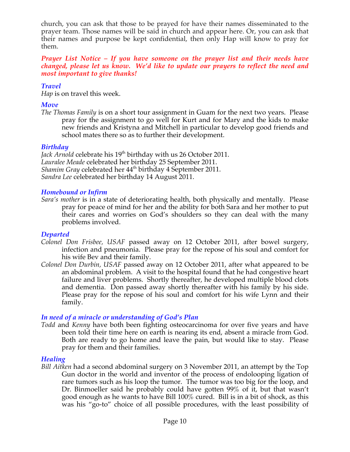church, you can ask that those to be prayed for have their names disseminated to the prayer team. Those names will be said in church and appear here. Or, you can ask that their names and purpose be kept confidential, then only Hap will know to pray for them.

#### *Prayer List Notice – If you have someone on the prayer list and their needs have changed, please let us know. We'd like to update our prayers to reflect the need and most important to give thanks!*

## *Travel*

*Hap* is on travel this week.

## *Move*

*The Thomas Family* is on a short tour assignment in Guam for the next two years. Please pray for the assignment to go well for Kurt and for Mary and the kids to make new friends and Kristyna and Mitchell in particular to develop good friends and school mates there so as to further their development.

### *Birthday*

*Jack Arnold* celebrate his 19<sup>th</sup> birthday with us 26 October 2011. *Lauralee Meade* celebrated her birthday 25 September 2011. *Shamim Gray celebrated her*  $44<sup>th</sup>$  birthday 4 September 2011. *Sandra Lee* celebrated her birthday 14 August 2011.

### *Homebound or Infirm*

*Sara's mother* is in a state of deteriorating health, both physically and mentally. Please pray for peace of mind for her and the ability for both Sara and her mother to put their cares and worries on God's shoulders so they can deal with the many problems involved.

### *Departed*

- *Colonel Don Frisbee, USAF* passed away on 12 October 2011, after bowel surgery, infection and pneumonia. Please pray for the repose of his soul and comfort for his wife Bev and their family.
- *Colonel Don Durbin, USAF* passed away on 12 October 2011, after what appeared to be an abdominal problem. A visit to the hospital found that he had congestive heart failure and liver problems. Shortly thereafter, he developed multiple blood clots and dementia. Don passed away shortly thereafter with his family by his side. Please pray for the repose of his soul and comfort for his wife Lynn and their family.

# *In need of a miracle or understanding of God's Plan*

*Todd* and *Kenny* have both been fighting osteocarcinoma for over five years and have been told their time here on earth is nearing its end, absent a miracle from God. Both are ready to go home and leave the pain, but would like to stay. Please pray for them and their families.

### *Healing*

*Bill Aitken* had a second abdominal surgery on 3 November 2011, an attempt by the Top Gun doctor in the world and inventor of the process of endolooping ligation of rare tumors such as his loop the tumor. The tumor was too big for the loop, and Dr. Binmoeller said he probably could have gotten 99% of it, but that wasn't good enough as he wants to have Bill 100% cured. Bill is in a bit of shock, as this was his "go-to" choice of all possible procedures, with the least possibility of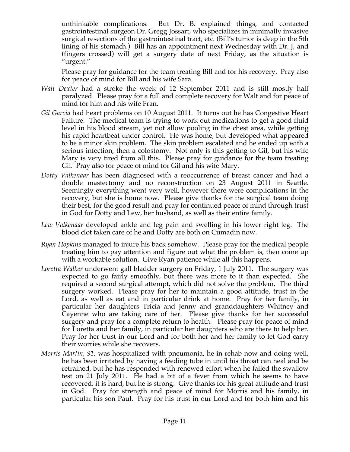unthinkable complications. But Dr. B. explained things, and contacted gastrointestinal surgeon Dr. Gregg Jossart, who specializes in minimally invasive surgical resections of the gastrointestinal tract, etc. (Bill's tumor is deep in the 5th lining of his stomach.) Bill has an appointment next Wednesday with Dr. J, and (fingers crossed) will get a surgery date of next Friday, as the situation is "urgent."

Please pray for guidance for the team treating Bill and for his recovery. Pray also for peace of mind for Bill and his wife Sara.

- *Walt Dexter* had a stroke the week of 12 September 2011 and is still mostly half paralyzed. Please pray for a full and complete recovery for Walt and for peace of mind for him and his wife Fran.
- *Gil Garcia* had heart problems on 10 August 2011. It turns out he has Congestive Heart Failure. The medical team is trying to work out medications to get a good fluid level in his blood stream, yet not allow pooling in the chest area, while getting his rapid heartbeat under control. He was home, but developed what appeared to be a minor skin problem. The skin problem escalated and he ended up with a serious infection, then a colostomy. Not only is this getting to Gil, but his wife Mary is very tired from all this. Please pray for guidance for the team treating Gil. Pray also for peace of mind for Gil and his wife Mary.
- *Dotty Valkenaar* has been diagnosed with a reoccurrence of breast cancer and had a double mastectomy and no reconstruction on 23 August 2011 in Seattle. Seemingly everything went very well, however there were complications in the recovery, but she is home now. Please give thanks for the surgical team doing their best, for the good result and pray for continued peace of mind through trust in God for Dotty and Lew, her husband, as well as their entire family.
- *Lew Valkenaar* developed ankle and leg pain and swelling in his lower right leg. The blood clot taken care of he and Dotty are both on Cumadin now.
- *Ryan Hopkins* managed to injure his back somehow. Please pray for the medical people treating him to pay attention and figure out what the problem is, then come up with a workable solution. Give Ryan patience while all this happens.
- *Loretta Walker* underwent gall bladder surgery on Friday, 1 July 2011. The surgery was expected to go fairly smoothly, but there was more to it than expected. She required a second surgical attempt, which did not solve the problem. The third surgery worked. Please pray for her to maintain a good attitude, trust in the Lord, as well as eat and in particular drink at home. Pray for her family, in particular her daughters Tricia and Jenny and granddaughters Whitney and Cayenne who are taking care of her. Please give thanks for her successful surgery and pray for a complete return to health. Please pray for peace of mind for Loretta and her family, in particular her daughters who are there to help her. Pray for her trust in our Lord and for both her and her family to let God carry their worries while she recovers.
- *Morris Martin, 91,* was hospitalized with pneumonia, he in rehab now and doing well, he has been irritated by having a feeding tube in until his throat can heal and be retrained, but he has responded with renewed effort when he failed the swallow test on 21 July 2011. He had a bit of a fever from which he seems to have recovered; it is hard, but he is strong. Give thanks for his great attitude and trust in God. Pray for strength and peace of mind for Morris and his family, in particular his son Paul. Pray for his trust in our Lord and for both him and his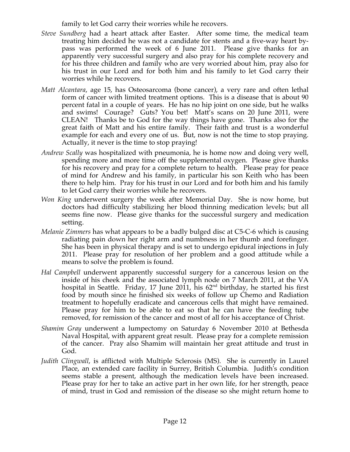family to let God carry their worries while he recovers.

- *Steve Sundberg* had a heart attack after Easter. After some time, the medical team treating him decided he was not a candidate for stents and a five-way heart bypass was performed the week of 6 June 2011. Please give thanks for an apparently very successful surgery and also pray for his complete recovery and for his three children and family who are very worried about him, pray also for his trust in our Lord and for both him and his family to let God carry their worries while he recovers.
- *Matt Alcantara*, age 15, has Osteosarcoma (bone cancer), a very rare and often lethal form of cancer with limited treatment options. This is a disease that is about 90 percent fatal in a couple of years. He has no hip joint on one side, but he walks and swims! Courage? Guts? You bet! Matt's scans on 20 June 2011, were CLEAN! Thanks be to God for the way things have gone. Thanks also for the great faith of Matt and his entire family. Their faith and trust is a wonderful example for each and every one of us. But, now is not the time to stop praying. Actually, it never is the time to stop praying!
- *Andrew Scally* was hospitalized with pneumonia, he is home now and doing very well, spending more and more time off the supplemental oxygen. Please give thanks for his recovery and pray for a complete return to health. Please pray for peace of mind for Andrew and his family, in particular his son Keith who has been there to help him. Pray for his trust in our Lord and for both him and his family to let God carry their worries while he recovers.
- *Won King* underwent surgery the week after Memorial Day. She is now home, but doctors had difficulty stabilizing her blood thinning medication levels; but all seems fine now. Please give thanks for the successful surgery and medication setting.
- *Melanie Zimmers* has what appears to be a badly bulged disc at C5-C-6 which is causing radiating pain down her right arm and numbness in her thumb and forefinger. She has been in physical therapy and is set to undergo epidural injections in July 2011. Please pray for resolution of her problem and a good attitude while a means to solve the problem is found.
- *Hal Campbell* underwent apparently successful surgery for a cancerous lesion on the inside of his cheek and the associated lymph node on 7 March 2011, at the VA hospital in Seattle. Friday, 17 June 2011, his  $62<sup>nd</sup>$  birthday, he started his first food by mouth since he finished six weeks of follow up Chemo and Radiation treatment to hopefully eradicate and cancerous cells that might have remained. Please pray for him to be able to eat so that he can have the feeding tube removed, for remission of the cancer and most of all for his acceptance of Christ.
- *Shamim Gray* underwent a lumpectomy on Saturday 6 November 2010 at Bethesda Naval Hospital, with apparent great result. Please pray for a complete remission of the cancer. Pray also Shamim will maintain her great attitude and trust in God.
- *Judith Clingwall*, is afflicted with Multiple Sclerosis (MS). She is currently in Laurel Place, an extended care facility in Surrey, British Columbia. Judith's condition seems stable a present, although the medication levels have been increased. Please pray for her to take an active part in her own life, for her strength, peace of mind, trust in God and remission of the disease so she might return home to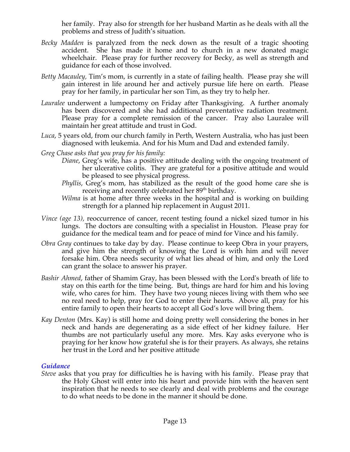her family. Pray also for strength for her husband Martin as he deals with all the problems and stress of Judith's situation.

- *Becky Madden* is paralyzed from the neck down as the result of a tragic shooting accident. She has made it home and to church in a new donated magic wheelchair. Please pray for further recovery for Becky, as well as strength and guidance for each of those involved.
- *Betty Macauley,* Tim's mom, is currently in a state of failing health. Please pray she will gain interest in life around her and actively pursue life here on earth. Please pray for her family, in particular her son Tim, as they try to help her.
- *Lauralee* underwent a lumpectomy on Friday after Thanksgiving. A further anomaly has been discovered and she had additional preventative radiation treatment. Please pray for a complete remission of the cancer. Pray also Lauralee will maintain her great attitude and trust in God.
- *Luca*, 5 years old, from our church family in Perth, Western Australia, who has just been diagnosed with leukemia. And for his Mum and Dad and extended family.
- *Greg Chase asks that you pray for his family:*
	- *Diane*, Greg's wife, has a positive attitude dealing with the ongoing treatment of her ulcerative colitis. They are grateful for a positive attitude and would be pleased to see physical progress.
	- *Phyllis*, Greg's mom, has stabilized as the result of the good home care she is receiving and recently celebrated her 89<sup>th</sup> birthday.
	- *Wilma* is at home after three weeks in the hospital and is working on building strength for a planned hip replacement in August 2011.
- *Vince (age 13), reoccurrence of cancer, recent testing found a nickel sized tumor in his* lungs. The doctors are consulting with a specialist in Houston. Please pray for guidance for the medical team and for peace of mind for Vince and his family.
- *Obra Gray* continues to take day by day. Please continue to keep Obra in your prayers, and give him the strength of knowing the Lord is with him and will never forsake him. Obra needs security of what lies ahead of him, and only the Lord can grant the solace to answer his prayer.
- *Bashir Ahmed*, father of Shamim Gray, has been blessed with the Lord's breath of life to stay on this earth for the time being. But, things are hard for him and his loving wife, who cares for him. They have two young nieces living with them who see no real need to help, pray for God to enter their hearts. Above all, pray for his entire family to open their hearts to accept all God's love will bring them.
- *Kay Denton* (Mrs. Kay) is still home and doing pretty well considering the bones in her neck and hands are degenerating as a side effect of her kidney failure. Her thumbs are not particularly useful any more. Mrs. Kay asks everyone who is praying for her know how grateful she is for their prayers. As always, she retains her trust in the Lord and her positive attitude.

### *Guidance*

*Steve* asks that you pray for difficulties he is having with his family. Please pray that the Holy Ghost will enter into his heart and provide him with the heaven sent inspiration that he needs to see clearly and deal with problems and the courage to do what needs to be done in the manner it should be done.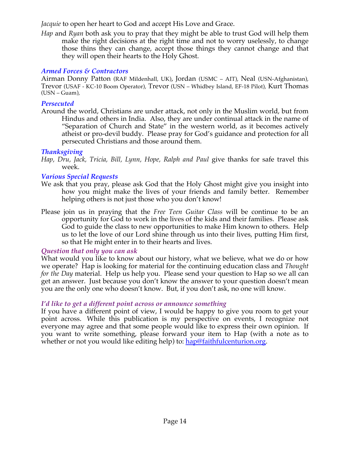*Jacquie* to open her heart to God and accept His Love and Grace.

*Hap* and *Ryan* both ask you to pray that they might be able to trust God will help them make the right decisions at the right time and not to worry uselessly, to change those thins they can change, accept those things they cannot change and that they will open their hearts to the Holy Ghost.

### *Armed Forces & Contractors*

Airman Donny Patton (RAF Mildenhall, UK), Jordan (USMC – AIT), Neal (USN-Afghanistan), Trevor (USAF - KC-10 Boom Operator), Trevor (USN – Whidbey Island, EF-18 Pilot), Kurt Thomas (USN – Guam),

### *Persecuted*

Around the world, Christians are under attack, not only in the Muslim world, but from Hindus and others in India. Also, they are under continual attack in the name of "Separation of Church and State" in the western world, as it becomes actively atheist or pro-devil buddy. Please pray for God's guidance and protection for all persecuted Christians and those around them.

# *Thanksgiving*

*Hap, Dru, Jack, Tricia, Bill, Lynn, Hope, Ralph and Paul* give thanks for safe travel this week.

### *Various Special Requests*

- We ask that you pray, please ask God that the Holy Ghost might give you insight into how you might make the lives of your friends and family better. Remember helping others is not just those who you don't know!
- Please join us in praying that the *Free Teen Guitar Class* will be continue to be an opportunity for God to work in the lives of the kids and their families. Please ask God to guide the class to new opportunities to make Him known to others. Help us to let the love of our Lord shine through us into their lives, putting Him first, so that He might enter in to their hearts and lives.

# *Question that only you can ask*

What would you like to know about our history, what we believe, what we do or how we operate? Hap is looking for material for the continuing education class and *Thought for the Day* material. Help us help you. Please send your question to Hap so we all can get an answer. Just because you don't know the answer to your question doesn't mean you are the only one who doesn't know. But, if you don't ask, no one will know.

### *I'd like to get a different point across or announce something*

If you have a different point of view, I would be happy to give you room to get your point across. While this publication is my perspective on events, I recognize not everyone may agree and that some people would like to express their own opinion. If you want to write something, please forward your item to Hap (with a note as to whether or not you would like editing help) to: hap@faithfulcenturion.org.